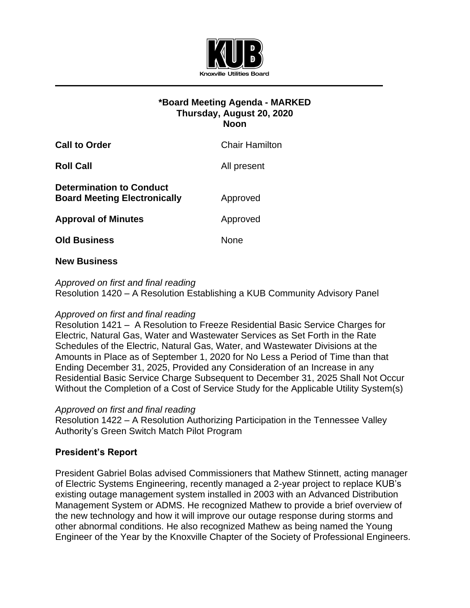

# **\*Board Meeting Agenda - MARKED Thursday, August 20, 2020 Noon**

| <b>Call to Order</b>                                                   | <b>Chair Hamilton</b> |
|------------------------------------------------------------------------|-----------------------|
| <b>Roll Call</b>                                                       | All present           |
| <b>Determination to Conduct</b><br><b>Board Meeting Electronically</b> | Approved              |
| <b>Approval of Minutes</b>                                             | Approved              |
| <b>Old Business</b>                                                    | None                  |
|                                                                        |                       |

## **New Business**

*Approved on first and final reading* Resolution 1420 – A Resolution Establishing a KUB Community Advisory Panel

# *Approved on first and final reading*

Resolution 1421 – A Resolution to Freeze Residential Basic Service Charges for Electric, Natural Gas, Water and Wastewater Services as Set Forth in the Rate Schedules of the Electric, Natural Gas, Water, and Wastewater Divisions at the Amounts in Place as of September 1, 2020 for No Less a Period of Time than that Ending December 31, 2025, Provided any Consideration of an Increase in any Residential Basic Service Charge Subsequent to December 31, 2025 Shall Not Occur Without the Completion of a Cost of Service Study for the Applicable Utility System(s)

# *Approved on first and final reading*

Resolution 1422 – A Resolution Authorizing Participation in the Tennessee Valley Authority's Green Switch Match Pilot Program

# **President's Report**

President Gabriel Bolas advised Commissioners that Mathew Stinnett, acting manager of Electric Systems Engineering, recently managed a 2-year project to replace KUB's existing outage management system installed in 2003 with an Advanced Distribution Management System or ADMS. He recognized Mathew to provide a brief overview of the new technology and how it will improve our outage response during storms and other abnormal conditions. He also recognized Mathew as being named the Young Engineer of the Year by the Knoxville Chapter of the Society of Professional Engineers.